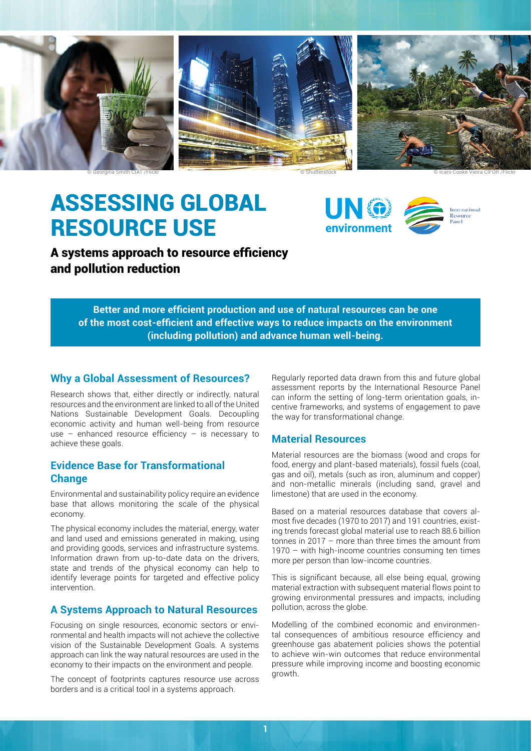





# ASSESSING GLOBAL RESOURCE USE





International Resource Panel

A systems approach to resource efficiency and pollution reduction

> **Better and more efficient production and use of natural resources can be one of the most cost-efficient and effective ways to reduce impacts on the environment (including pollution) and advance human well-being.**

## **Why a Global Assessment of Resources?**

Research shows that, either directly or indirectly, natural resources and the environment are linked to all of the United Nations Sustainable Development Goals. Decoupling economic activity and human well-being from resource use – enhanced resource efficiency – is necessary to achieve these goals.

# **Evidence Base for Transformational Change**

Environmental and sustainability policy require an evidence base that allows monitoring the scale of the physical economy.

The physical economy includes the material, energy, water and land used and emissions generated in making, using and providing goods, services and infrastructure systems. Information drawn from up-to-date data on the drivers, state and trends of the physical economy can help to identify leverage points for targeted and effective policy intervention.

# **A Systems Approach to Natural Resources**

Focusing on single resources, economic sectors or environmental and health impacts will not achieve the collective vision of the Sustainable Development Goals. A systems approach can link the way natural resources are used in the economy to their impacts on the environment and people.

The concept of footprints captures resource use across borders and is a critical tool in a systems approach.

Regularly reported data drawn from this and future global assessment reports by the International Resource Panel can inform the setting of long-term orientation goals, incentive frameworks, and systems of engagement to pave the way for transformational change.

# **Material Resources**

Material resources are the biomass (wood and crops for food, energy and plant-based materials), fossil fuels (coal, gas and oil), metals (such as iron, aluminum and copper) and non-metallic minerals (including sand, gravel and limestone) that are used in the economy.

Based on a material resources database that covers almost five decades (1970 to 2017) and 191 countries, existing trends forecast global material use to reach 88.6 billion tonnes in 2017 – more than three times the amount from 1970 – with high-income countries consuming ten times more per person than low-income countries.

This is significant because, all else being equal, growing material extraction with subsequent material flows point to growing environmental pressures and impacts, including pollution, across the globe.

Modelling of the combined economic and environmental consequences of ambitious resource efficiency and greenhouse gas abatement policies shows the potential to achieve win-win outcomes that reduce environmental pressure while improving income and boosting economic growth.